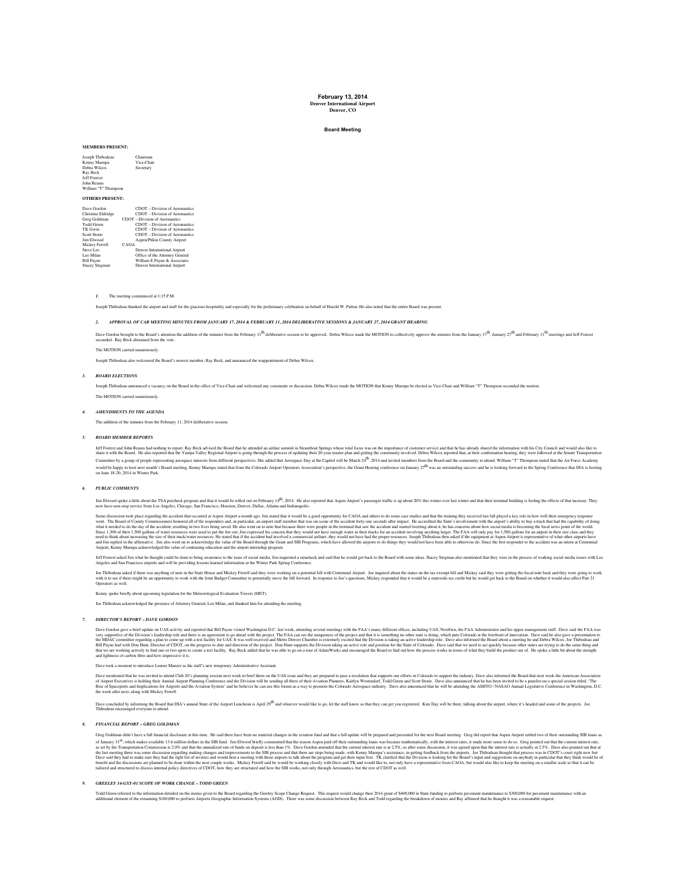#### **February 13, 2014 Denver International Airport Denver, CO**

## **Board Meeting**

#### **MEMBERS PRESENT:**

| Joseph Thibodeau<br>Kenny Maenpa | Chairman<br>Vice-Chair         |
|----------------------------------|--------------------------------|
| Debra Wilcox                     | Secretary                      |
| Ray Beck                         |                                |
| <b>Jeff Forrest</b>              |                                |
| <b>John Reams</b>                |                                |
| William "T" Thompson             |                                |
| <b>OTHERS PRESENT:</b>           |                                |
|                                  |                                |
| Dave Gordon                      | CDOT - Division of Aeronautics |
| Christine Eldridge               | CDOT - Division of Aeronautics |
| Greg Goldman                     | CDOT - Division of Aeronautics |
| <b>Todd Green</b>                | CDOT - Division of Aeronautics |
| <b>TK Gwin</b>                   | CDOT - Division of Aeronautics |
| <b>Scott Storie</b>              | CDOT - Division of Aeronautics |
| <b>Jim Elwood</b>                | Aspen/Pitkin County Airport    |
| Mickey Ferrell                   | CAOA                           |
| Steve Lee                        | Denver International Airport   |
|                                  |                                |

Leo Milan Office of the Attorney General Bill Payne William E Payne & Associates Stacey Stegman Denver International Airport

*1.* The meeting commenced at 1:15 P.M.

Joseph Thibodeau thanked the airport and staff for the gracious hospitality and especially for the preliminary celebration on behalf of Harold W. Patton. He also noted that the entire Board was present.

### *2. APPROVAL OF CAB MEETING MINUTES FROM JANUARY 17, 2014 & FEBRUARY 11, 2014 DELIBERATIVE SESSIONS & JANUARY 27, 2014 GRANT HEARING*

Dave Grodon brought to the Board's attention the addition of the minutes from the February 11<sup>th</sup> deliberative session to be approved. Debra Wilcox made the MOTION to collectively approve the minutes from the January 17<sup>th</sup>

## The MOTION carried unanimously.

Joseph Thibodeau also welcomed the Board's newest member, Ray Beck, and announced the reappointment of Debra Wilcox.

## *3. BOARD ELECTIONS*

Joseph Thibodeau announced a vacancy on the Board in the office of Vice-Chair and welcomed any comments or discussion. Debra Wilcox made the MOTION that Kenny Maenpa be elected as Vice-Chair and William "T" Thompson second The MOTION carried unanim

## *4. AMENDMENTS TO THE AGENDA*

The addition of the minutes from the February 11, 2014 deliberative session.

## *5. BOARD MEMBER REPORTS*

For Forest and John Reams had nothing to report. Ray Beck ashied the Bouthed the attended an airifus summati in Steamboust Springs whose tous content of emotioner acrvice and the has already shared and painting the incompa

### *6. PUBLIC COMMENTS*

Jim Elwood spokes little about the TSA predeck program and that it would be rolled out on February 14<sup>9</sup>. 2014. He also repreted that Aspen Airport's passenger traffic is up about 20% this winter over last winter and that

Some discussion took place regarding the accident mixtocone of the secured at Aspect and the secure of the accident of the special section of the second and the section of the second and the second and the second and the s

Jeff Forest saked Jim what he thought to do the down to his awarenes to the issue of scala median. Jim requested and said that he would get back to the Board with some ideas. Stacey Stegman also mentioned that they were in

Joc Thiodou askel if ther was anything of not in the Stue Jones and Mickey Ferell said they were they to re writing on a potential bill from the proton of the studied blumber and Mickey said they will allow the state of th Operators as well.

Kenny spoke briefly about upcoming legislation for the Meteorological Evaluation Towers (MET).

Joe Thibodeau acknowledged the presence of Attorney General, Leo Milan, and thanked him for attending the meeting.

#### *7. DIRECTOR'S REPORT – DAVE GORDON*

Dave Goston gave a brief update on UAS acisity gad reported mat Bill Payon system and Highlar Bill Payon and Michael With the project. The FAA can see the uniqueness of the project and that it is something no other state i

Dave took a moment to introduce Lenore Manzer as the staff's new temporary Administrative Assistant.

Dave mentoned that he was invited to attend Chi D's pubming ession net week to brief then on the UAS issue and they re presured to pass resolution that support our effects in the consideration of Airport Scenarios consider

Dave concluded by informing the Board that DIA's annual State of the Airport Lunchcon is April 29th and whoever would like to go, let the staff know so that they can get you registered. Kim Day will be here, ralking about

## *8. FINANCIAL REPORT – GREG GOLDMAN*

Greg Goldman didn't have a full financial disclosure at this time. He said there have been no material changes in the aviation fund and that a full update will be prepared and presented for the next Board meeting. Greg did of Janary 31<sup>st</sup> which makes available 13 onilloa dollars in the SIB innd. Inn Elved briefy commented that the camena of their outstanding loans was because may be a may be a may be a may be able to a sect that a state of

#### *9. GREELEY 14-GXY-01 SCOPE OF WORK CHANGE – TODD GREEN*

Todd Green referent to the information detail of the mone given to the Bought registing the Greely Scope Change Request. This request would change thir 2014 grand 15400.000 in State fund the fund the monitor and the monito